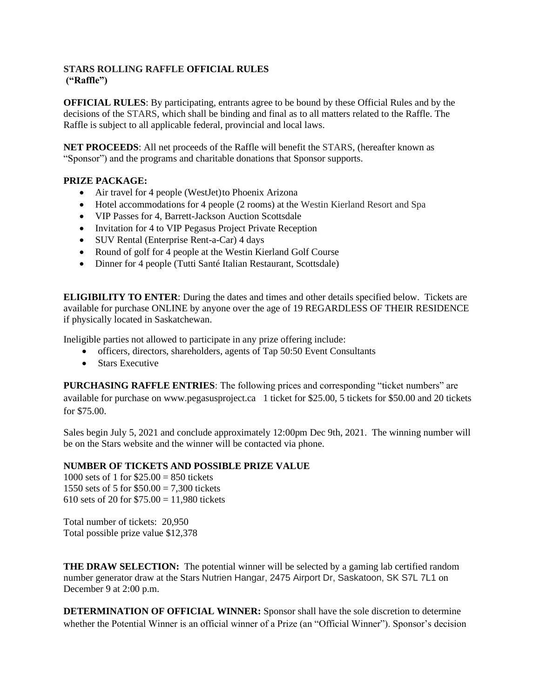## **STARS ROLLING RAFFLE OFFICIAL RULES ("Raffle")**

**OFFICIAL RULES**: By participating, entrants agree to be bound by these Official Rules and by the decisions of the STARS, which shall be binding and final as to all matters related to the Raffle. The Raffle is subject to all applicable federal, provincial and local laws.

**NET PROCEEDS**: All net proceeds of the Raffle will benefit the STARS, (hereafter known as "Sponsor") and the programs and charitable donations that Sponsor supports.

## **PRIZE PACKAGE:**

- Air travel for 4 people (WestJet) to Phoenix Arizona
- Hotel accommodations for 4 people (2 rooms) at the Westin Kierland Resort and Spa
- VIP Passes for 4, Barrett-Jackson Auction Scottsdale
- Invitation for 4 to VIP Pegasus Project Private Reception
- SUV Rental (Enterprise Rent-a-Car) 4 days
- Round of golf for 4 people at the Westin Kierland Golf Course
- Dinner for 4 people (Tutti Santé Italian Restaurant, Scottsdale)

**ELIGIBILITY TO ENTER**: During the dates and times and other details specified below. Tickets are available for purchase ONLINE by anyone over the age of 19 REGARDLESS OF THEIR RESIDENCE if physically located in Saskatchewan.

Ineligible parties not allowed to participate in any prize offering include:

- officers, directors, shareholders, agents of Tap 50:50 Event Consultants
- Stars Executive

**PURCHASING RAFFLE ENTRIES**: The following prices and corresponding "ticket numbers" are available for purchase on www.pegasusproject.ca 1 ticket for \$25.00, 5 tickets for \$50.00 and 20 tickets for \$75.00.

Sales begin July 5, 2021 and conclude approximately 12:00pm Dec 9th, 2021. The winning number will be on the Stars website and the winner will be contacted via phone.

## **NUMBER OF TICKETS AND POSSIBLE PRIZE VALUE**

1000 sets of 1 for  $$25.00 = 850$  tickets 1550 sets of 5 for  $$50.00 = 7.300$  tickets 610 sets of 20 for  $$75.00 = 11,980$  tickets

Total number of tickets: 20,950 Total possible prize value \$12,378

**THE DRAW SELECTION:** The potential winner will be selected by a gaming lab certified random number generator draw at the Stars Nutrien Hangar, 2475 Airport Dr, Saskatoon, SK S7L 7L1 on December 9 at 2:00 p.m.

**DETERMINATION OF OFFICIAL WINNER:** Sponsor shall have the sole discretion to determine whether the Potential Winner is an official winner of a Prize (an "Official Winner"). Sponsor's decision